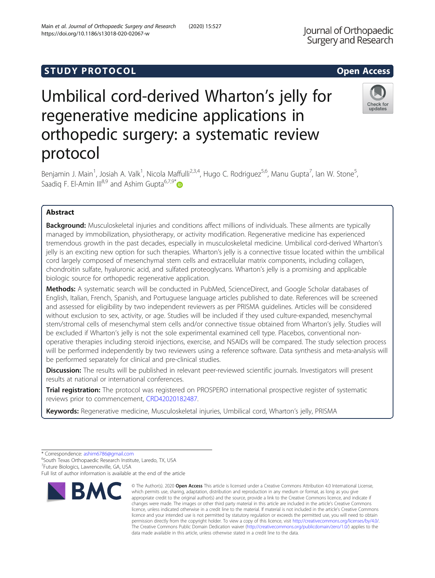## **STUDY PROTOCOL CONSUMING THE CONSUMING OPEN ACCESS**

# Umbilical cord-derived Wharton's jelly for regenerative medicine applications in orthopedic surgery: a systematic review protocol

Benjamin J. Main<sup>1</sup>, Josiah A. Valk<sup>1</sup>, Nicola Maffulli<sup>2,3,4</sup>, Hugo C. Rodriguez<sup>5,6</sup>, Manu Gupta<sup>7</sup>, Ian W. Stone<sup>5</sup> , Saadig F. El-Amin  $III^{8,9}$  and Ashim Gupta<sup>6,7,9\*</sup>

## Abstract

**Background:** Musculoskeletal injuries and conditions affect millions of individuals. These ailments are typically managed by immobilization, physiotherapy, or activity modification. Regenerative medicine has experienced tremendous growth in the past decades, especially in musculoskeletal medicine. Umbilical cord-derived Wharton's jelly is an exciting new option for such therapies. Wharton's jelly is a connective tissue located within the umbilical cord largely composed of mesenchymal stem cells and extracellular matrix components, including collagen, chondroitin sulfate, hyaluronic acid, and sulfated proteoglycans. Wharton's jelly is a promising and applicable biologic source for orthopedic regenerative application.

Methods: A systematic search will be conducted in PubMed, ScienceDirect, and Google Scholar databases of English, Italian, French, Spanish, and Portuguese language articles published to date. References will be screened and assessed for eligibility by two independent reviewers as per PRISMA guidelines. Articles will be considered without exclusion to sex, activity, or age. Studies will be included if they used culture-expanded, mesenchymal stem/stromal cells of mesenchymal stem cells and/or connective tissue obtained from Wharton's jelly. Studies will be excluded if Wharton's jelly is not the sole experimental examined cell type. Placebos, conventional nonoperative therapies including steroid injections, exercise, and NSAIDs will be compared. The study selection process will be performed independently by two reviewers using a reference software. Data synthesis and meta-analysis will be performed separately for clinical and pre-clinical studies.

Discussion: The results will be published in relevant peer-reviewed scientific journals. Investigators will present results at national or international conferences.

Trial registration: The protocol was registered on PROSPERO international prospective register of systematic reviews prior to commencement, [CRD42020182487](https://www.crd.york.ac.uk/prospero/display_record.php?ID=CRD42020182487).

Keywords: Regenerative medicine, Musculoskeletal injuries, Umbilical cord, Wharton's jelly, PRISMA

<sup>6</sup>South Texas Orthopaedic Research Institute, Laredo, TX, USA

Full list of author information is available at the end of the article

<sup>7</sup>Future Biologics, Lawrenceville, GA, USA

**RMC** 







<sup>\*</sup> Correspondence: [ashim6786@gmail.com](mailto:ashim6786@gmail.com) <sup>6</sup>

<sup>©</sup> The Author(s), 2020 **Open Access** This article is licensed under a Creative Commons Attribution 4.0 International License, which permits use, sharing, adaptation, distribution and reproduction in any medium or format, as long as you give appropriate credit to the original author(s) and the source, provide a link to the Creative Commons licence, and indicate if changes were made. The images or other third party material in this article are included in the article's Creative Commons licence, unless indicated otherwise in a credit line to the material. If material is not included in the article's Creative Commons licence and your intended use is not permitted by statutory regulation or exceeds the permitted use, you will need to obtain permission directly from the copyright holder. To view a copy of this licence, visit [http://creativecommons.org/licenses/by/4.0/.](http://creativecommons.org/licenses/by/4.0/) The Creative Commons Public Domain Dedication waiver [\(http://creativecommons.org/publicdomain/zero/1.0/](http://creativecommons.org/publicdomain/zero/1.0/)) applies to the data made available in this article, unless otherwise stated in a credit line to the data.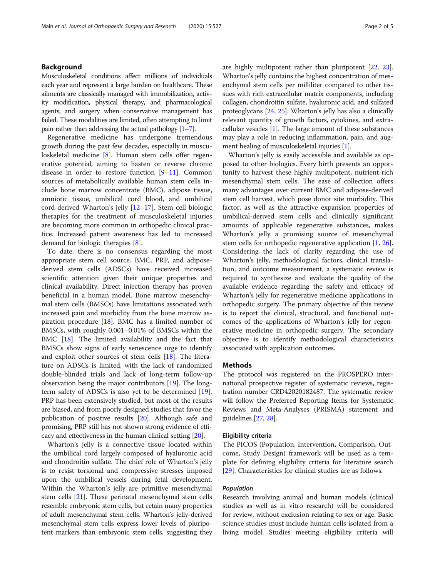## Background

Musculoskeletal conditions affect millions of individuals each year and represent a large burden on healthcare. These ailments are classically managed with immobilization, activity modification, physical therapy, and pharmacological agents, and surgery when conservative management has failed. These modalities are limited, often attempting to limit pain rather than addressing the actual pathology  $[1-7]$  $[1-7]$  $[1-7]$  $[1-7]$ .

Regenerative medicine has undergone tremendous growth during the past few decades, especially in musculoskeletal medicine [\[8\]](#page-3-0). Human stem cells offer regenerative potential, aiming to hasten or reverse chronic disease in order to restore function [[9](#page-3-0)–[11](#page-3-0)]. Common sources of metabolically available human stem cells include bone marrow concentrate (BMC), adipose tissue, amniotic tissue, umbilical cord blood, and umbilical cord-derived Wharton's jelly [[12](#page-3-0)–[17](#page-3-0)]. Stem cell biologic therapies for the treatment of musculoskeletal injuries are becoming more common in orthopedic clinical practice. Increased patient awareness has led to increased demand for biologic therapies [\[8](#page-3-0)].

To date, there is no consensus regarding the most appropriate stem cell source. BMC, PRP, and adiposederived stem cells (ADSCs) have received increased scientific attention given their unique properties and clinical availability. Direct injection therapy has proven beneficial in a human model. Bone marrow mesenchymal stem cells (BMSCs) have limitations associated with increased pain and morbidity from the bone marrow aspiration procedure [[18\]](#page-3-0). BMC has a limited number of BMSCs, with roughly 0.001–0.01% of BMSCs within the BMC [\[18](#page-3-0)]. The limited availability and the fact that BMSCs show signs of early senescence urge to identify and exploit other sources of stem cells [\[18\]](#page-3-0). The literature on ADSCs is limited, with the lack of randomized double-blinded trials and lack of long-term follow-up observation being the major contributors [[19\]](#page-4-0). The longterm safety of ADSCs is also yet to be determined [\[19](#page-4-0)]. PRP has been extensively studied, but most of the results are biased, and from poorly designed studies that favor the publication of positive results [\[20\]](#page-4-0). Although safe and promising, PRP still has not shown strong evidence of efficacy and effectiveness in the human clinical setting [\[20\]](#page-4-0).

Wharton's jelly is a connective tissue located within the umbilical cord largely composed of hyaluronic acid and chondroitin sulfate. The chief role of Wharton's jelly is to resist torsional and compressive stresses imposed upon the umbilical vessels during fetal development. Within the Wharton's jelly are primitive mesenchymal stem cells [\[21](#page-4-0)]. These perinatal mesenchymal stem cells resemble embryonic stem cells, but retain many properties of adult mesenchymal stem cells. Wharton's jelly-derived mesenchymal stem cells express lower levels of pluripotent markers than embryonic stem cells, suggesting they are highly multipotent rather than pluripotent [\[22,](#page-4-0) [23](#page-4-0)]. Wharton's jelly contains the highest concentration of mesenchymal stem cells per milliliter compared to other tissues with rich extracellular matrix components, including collagen, chondroitin sulfate, hyaluronic acid, and sulfated proteoglycans [[24,](#page-4-0) [25](#page-4-0)]. Wharton's jelly has also a clinically relevant quantity of growth factors, cytokines, and extracellular vesicles [[1\]](#page-3-0). The large amount of these substances may play a role in reducing inflammation, pain, and augment healing of musculoskeletal injuries [\[1](#page-3-0)].

Wharton's jelly is easily accessible and available as opposed to other biologics. Every birth presents an opportunity to harvest these highly multipotent, nutrient-rich mesenchymal stem cells. The ease of collection offers many advantages over current BMC and adipose-derived stem cell harvest, which pose donor site morbidity. This factor, as well as the attractive expansion properties of umbilical-derived stem cells and clinically significant amounts of applicable regenerative substances, makes Wharton's jelly a promising source of mesenchymal stem cells for orthopedic regenerative application [\[1](#page-3-0), [26](#page-4-0)]. Considering the lack of clarity regarding the use of Wharton's jelly, methodological factors, clinical translation, and outcome measurement, a systematic review is required to synthesize and evaluate the quality of the available evidence regarding the safety and efficacy of Wharton's jelly for regenerative medicine applications in orthopedic surgery. The primary objective of this review is to report the clinical, structural, and functional outcomes of the applications of Wharton's jelly for regenerative medicine in orthopedic surgery. The secondary objective is to identify methodological characteristics associated with application outcomes.

#### Methods

The protocol was registered on the PROSPERO international prospective register of systematic reviews, registration number CRD42020182487. The systematic review will follow the Preferred Reporting Items for Systematic Reviews and Meta-Analyses (PRISMA) statement and guidelines [\[27](#page-4-0), [28](#page-4-0)].

#### Eligibility criteria

The PICOS (Population, Intervention, Comparison, Outcome, Study Design) framework will be used as a template for defining eligibility criteria for literature search [[29\]](#page-4-0). Characteristics for clinical studies are as follows.

## Population

Research involving animal and human models (clinical studies as well as in vitro research) will be considered for review, without exclusion relating to sex or age. Basic science studies must include human cells isolated from a living model. Studies meeting eligibility criteria will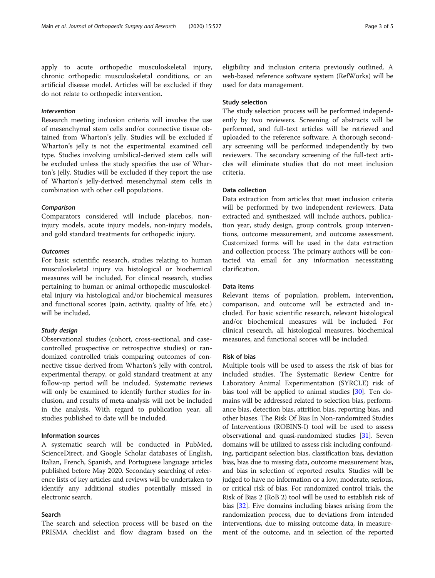apply to acute orthopedic musculoskeletal injury, chronic orthopedic musculoskeletal conditions, or an artificial disease model. Articles will be excluded if they do not relate to orthopedic intervention.

## Intervention

Research meeting inclusion criteria will involve the use of mesenchymal stem cells and/or connective tissue obtained from Wharton's jelly. Studies will be excluded if Wharton's jelly is not the experimental examined cell type. Studies involving umbilical-derived stem cells will be excluded unless the study specifies the use of Wharton's jelly. Studies will be excluded if they report the use of Wharton's jelly-derived mesenchymal stem cells in combination with other cell populations.

## Comparison

Comparators considered will include placebos, noninjury models, acute injury models, non-injury models, and gold standard treatments for orthopedic injury.

## **Outcomes**

For basic scientific research, studies relating to human musculoskeletal injury via histological or biochemical measures will be included. For clinical research, studies pertaining to human or animal orthopedic musculoskeletal injury via histological and/or biochemical measures and functional scores (pain, activity, quality of life, etc.) will be included.

## Study design

Observational studies (cohort, cross-sectional, and casecontrolled prospective or retrospective studies) or randomized controlled trials comparing outcomes of connective tissue derived from Wharton's jelly with control, experimental therapy, or gold standard treatment at any follow-up period will be included. Systematic reviews will only be examined to identify further studies for inclusion, and results of meta-analysis will not be included in the analysis. With regard to publication year, all studies published to date will be included.

## Information sources

A systematic search will be conducted in PubMed, ScienceDirect, and Google Scholar databases of English, Italian, French, Spanish, and Portuguese language articles published before May 2020. Secondary searching of reference lists of key articles and reviews will be undertaken to identify any additional studies potentially missed in electronic search.

## Search

The search and selection process will be based on the PRISMA checklist and flow diagram based on the eligibility and inclusion criteria previously outlined. A web-based reference software system (RefWorks) will be used for data management.

## Study selection

The study selection process will be performed independently by two reviewers. Screening of abstracts will be performed, and full-text articles will be retrieved and uploaded to the reference software. A thorough secondary screening will be performed independently by two reviewers. The secondary screening of the full-text articles will eliminate studies that do not meet inclusion criteria.

## Data collection

Data extraction from articles that meet inclusion criteria will be performed by two independent reviewers. Data extracted and synthesized will include authors, publication year, study design, group controls, group interventions, outcome measurement, and outcome assessment. Customized forms will be used in the data extraction and collection process. The primary authors will be contacted via email for any information necessitating clarification.

## Data items

Relevant items of population, problem, intervention, comparison, and outcome will be extracted and included. For basic scientific research, relevant histological and/or biochemical measures will be included. For clinical research, all histological measures, biochemical measures, and functional scores will be included.

## Risk of bias

Multiple tools will be used to assess the risk of bias for included studies. The Systematic Review Centre for Laboratory Animal Experimentation (SYRCLE) risk of bias tool will be applied to animal studies [\[30\]](#page-4-0). Ten domains will be addressed related to selection bias, performance bias, detection bias, attrition bias, reporting bias, and other biases. The Risk Of Bias In Non-randomized Studies of Interventions (ROBINS-I) tool will be used to assess observational and quasi-randomized studies [\[31](#page-4-0)]. Seven domains will be utilized to assess risk including confounding, participant selection bias, classification bias, deviation bias, bias due to missing data, outcome measurement bias, and bias in selection of reported results. Studies will be judged to have no information or a low, moderate, serious, or critical risk of bias. For randomized control trials, the Risk of Bias 2 (RoB 2) tool will be used to establish risk of bias [\[32\]](#page-4-0). Five domains including biases arising from the randomization process, due to deviations from intended interventions, due to missing outcome data, in measurement of the outcome, and in selection of the reported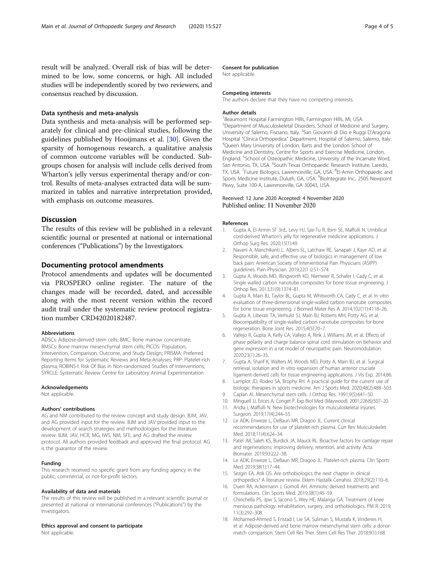<span id="page-3-0"></span>result will be analyzed. Overall risk of bias will be determined to be low, some concerns, or high. All included studies will be independently scored by two reviewers, and consensus reached by discussion.

## Data synthesis and meta-analysis

Data synthesis and meta-analysis will be performed separately for clinical and pre-clinical studies, following the guidelines published by Hooijmans et al. [[30](#page-4-0)]. Given the sparsity of homogenous research, a qualitative analysis of common outcome variables will be conducted. Subgroups chosen for analysis will include cells derived from Wharton's jelly versus experimental therapy and/or control. Results of meta-analyses extracted data will be summarized in tables and narrative interpretation provided, with emphasis on outcome measures.

## **Discussion**

The results of this review will be published in a relevant scientific journal or presented at national or international conferences ("Publications") by the Investigators.

### Documenting protocol amendments

Protocol amendments and updates will be documented via PROSPERO online register. The nature of the changes made will be recorded, dated, and accessible along with the most recent version within the record audit trail under the systematic review protocol registration number CRD42020182487.

## Abbreviations

ADSCs: Adipose-derived stem cells; BMC: Bone marrow concentrate; BMSCs: Bone marrow mesenchymal stem cells; PICOS: Population, Intervention, Comparison, Outcome, and Study Design; PRISMA: Preferred Reporting Items for Systematic Reviews and Meta-Analyses; PRP: Platelet-rich plasma; ROBINS-I: Risk Of Bias in Non-randomized Studies of Interventions; SYRCLE: Systematic Review Centre for Laboratory Animal Experimentation

#### Acknowledgements

Not applicable.

#### Authors' contributions

AG and NM contributed to the review concept and study design. BJM, JAV, and AG provided input for the review. BJM and JAV provided input to the development of search strategies and methodologies for the literature review. BJM, JAV, HCR, MG, IWS, NM, SFE, and AG drafted the review protocol. All authors provided feedback and approved the final protocol. AG is the guarantor of the review.

#### Funding

This research received no specific grant from any funding agency in the public, commercial, or not-for-profit sectors.

#### Availability of data and materials

The results of this review will be published in a relevant scientific journal or presented at national or international conferences ("Publications") by the Investigators.

## Ethics approval and consent to participate

Not applicable.

#### Consent for publication

Not applicable.

#### Competing interests

The authors declare that they have no competing interests.

#### Author details

<sup>1</sup> Beaumont Hospital Farmington Hills, Farmington Hills, MI, USA. <sup>2</sup> Department of Musculoskeletal Disorders, School of Medicine and Surgery, University of Salerno, Fisciano, Italy. <sup>3</sup>San Giovanni di Dio e Ruggi D'Aragona Hospital "Clinica Orthopedica" Department, Hospital of Salerno, Salerno, Italy. <sup>4</sup>Queen Mary University of London, Barts and the London School of Medicine and Dentistry, Centre for Sports and Exercise Medicine, London, England. <sup>5</sup>School of Osteopathic Medicine, University of the Incarnate Word San Antonio, TX, USA. <sup>6</sup>South Texas Orthopaedic Research Institute, Laredo TX, USA. <sup>7</sup>Future Biologics, Lawrenceville, GA, USA. <sup>8</sup>El-Amin Orthopaedic and Sports Medicine Institute, Duluth, GA, USA. <sup>9</sup>BioIntegrate Inc., 2505 Newpoint Pkwy, Suite 100-A, Lawrenceville, GA 30043, USA.

## Received: 12 June 2020 Accepted: 4 November 2020 Published online: 11 November 2020

#### References

- 1. Gupta A, El-Armin SF 3rd., Levy HJ, Sze-Tu R, Ibim SE, Maffulli N. Umbilical cord-derived Wharton's jelly for regenerative medicine applications. J Orthop Surg Res. 2020;15(1):49.
- 2. Navani A, Manchikanti L, Albers SL, Latchaw RE, Sanapati J, Kaye AD, et al. Responsible, safe, and effective use of biologics in management of low back pain: American Society of Interventional Pain Physicians (ASIPP) guidelines. Pain Physician. 2019;22(1 s):S1–S74.
- 3. Gupta A, Woods MD, Illingworth KD, Niemeier R, Schafer I, Cady C, et al. Single walled carbon nanotube composites for bone tissue engineering. J Orthop Res. 2013;31(9):1374–81.
- 4. Gupta A, Main BJ, Taylor BL, Gupta M, Whitworth CA, Cady C, et al. In vitro evaluation of three-dimensional single-walled carbon nanotube composites for bone tissue engineering. J Biomed Mater Res A. 2014;102(11):4118–26.
- 5. Gupta A, Liberati TA, Verhulst SJ, Main BJ, Roberts MH, Potty AG, et al. Biocompatibility of single-walled carbon nanotube composites for bone regeneration. Bone Joint Res. 2015;4(5):70–7.
- Vallejo R, Gupta A, Kelly CA, Vallejo A, Rink J, Williams JM, et al. Effects of phase polarity and charge balance spinal cord stimulation on behavior and gene expression in a rat model of neuropathic pain. Neuromodulation. 2020;23(1):26–35.
- 7. Gupta A, Sharif K, Walters M, Woods MD, Potty A, Main BJ, et al. Surgical retrieval, isolation and in vitro expansion of human anterior cruciate ligament-derived cells for tissue engineering applications. J Vis Exp. 2014;86.
- Lamplot JD, Rodeo SA, Brophy RH. A practical guide for the current use of biologic therapies in sports medicine. Am J Sports Med. 2020;48(2):488–503.
- 9. Caplan AI. Mesenchymal stem cells. J Orthop Res. 1991;9(5):641–50.
- 10. Minguell JJ, Erices A, Conget P. Exp Biol Med (Maywood). 2001;226(6):507–20.
- 11. Andia I, Maffulli N. New biotechnologies for musculoskeletal injuries. Surgeon. 2019;17(4):244–55.
- 12. Le ADK, Enweze L, DeBaun MR, Dragoo JL. Current clinical recommendations for use of platelet-rich plasma. Curr Rev Musculoskelet Med. 2018;11(4):624–34.
- 13. Patel JM, Saleh KS, Burdick JA, Mauck RL. Bioactive factors for cartilage repair and regenerations: improving delivery, retention, and activity. Acta Biomater. 2019;93:222–38.
- 14. Le ADK, Enweze L, DeBaun MR, Dragoo JL. Platelet-rich plasma. Clin Sports Med. 2019;38(1):17–44.
- 15. Sezgin EA, Atik OS. Are orthobiologics the next chapter in clinical orthopedics? A literature review. Eklem Hastalik Cerrahisi. 2018;29(2):110–6. 16. Duerr RA, Ackermann J, Gomoll AH. Amniotic-derived treatments and
- formulations. Clin Sports Med. 2019;38(1):45–59.
- 17. Chirichella PS, Jpw S, Iacono S, Wey HE, Malanga GA. Treatment of knee meniscus pathology: rehabilitation, surgery, and orthobiologics. PM R. 2019; 11(3):292–308.
- 18. Mohamed-Ahmed S, Fristad I, Lie SA, Suliman S, Mustafa K, Vindenes H, et al. Adipose-derived and bone marrow mesenchymal stem cells: a donormatch comparison. Stem Cell Res Ther. Stem Cell Res Ther. 2018;9(1):168.